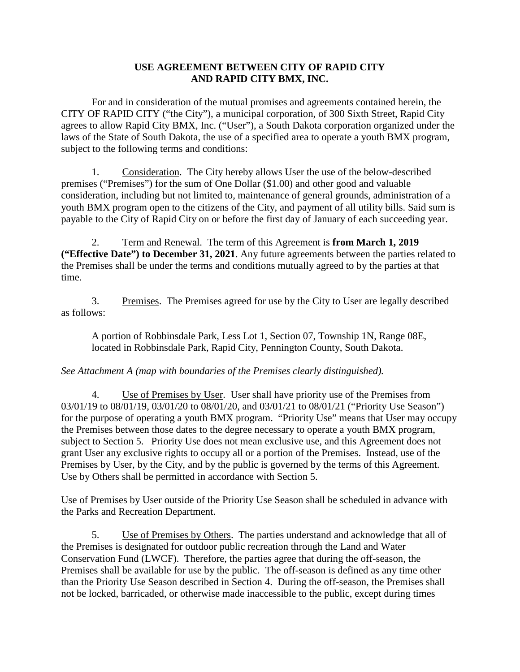## **USE AGREEMENT BETWEEN CITY OF RAPID CITY AND RAPID CITY BMX, INC.**

For and in consideration of the mutual promises and agreements contained herein, the CITY OF RAPID CITY ("the City"), a municipal corporation, of 300 Sixth Street, Rapid City agrees to allow Rapid City BMX, Inc. ("User"), a South Dakota corporation organized under the laws of the State of South Dakota, the use of a specified area to operate a youth BMX program, subject to the following terms and conditions:

1. Consideration. The City hereby allows User the use of the below-described premises ("Premises") for the sum of One Dollar (\$1.00) and other good and valuable consideration, including but not limited to, maintenance of general grounds, administration of a youth BMX program open to the citizens of the City, and payment of all utility bills. Said sum is payable to the City of Rapid City on or before the first day of January of each succeeding year.

2. Term and Renewal. The term of this Agreement is **from March 1, 2019 ("Effective Date") to December 31, 2021**. Any future agreements between the parties related to the Premises shall be under the terms and conditions mutually agreed to by the parties at that time.

3. Premises. The Premises agreed for use by the City to User are legally described as follows:

A portion of Robbinsdale Park, Less Lot 1, Section 07, Township 1N, Range 08E, located in Robbinsdale Park, Rapid City, Pennington County, South Dakota.

## *See Attachment A (map with boundaries of the Premises clearly distinguished).*

4. Use of Premises by User. User shall have priority use of the Premises from 03/01/19 to 08/01/19, 03/01/20 to 08/01/20, and 03/01/21 to 08/01/21 ("Priority Use Season") for the purpose of operating a youth BMX program. "Priority Use" means that User may occupy the Premises between those dates to the degree necessary to operate a youth BMX program, subject to Section 5. Priority Use does not mean exclusive use, and this Agreement does not grant User any exclusive rights to occupy all or a portion of the Premises. Instead, use of the Premises by User, by the City, and by the public is governed by the terms of this Agreement. Use by Others shall be permitted in accordance with Section 5.

Use of Premises by User outside of the Priority Use Season shall be scheduled in advance with the Parks and Recreation Department.

5. Use of Premises by Others. The parties understand and acknowledge that all of the Premises is designated for outdoor public recreation through the Land and Water Conservation Fund (LWCF). Therefore, the parties agree that during the off-season, the Premises shall be available for use by the public. The off-season is defined as any time other than the Priority Use Season described in Section 4. During the off-season, the Premises shall not be locked, barricaded, or otherwise made inaccessible to the public, except during times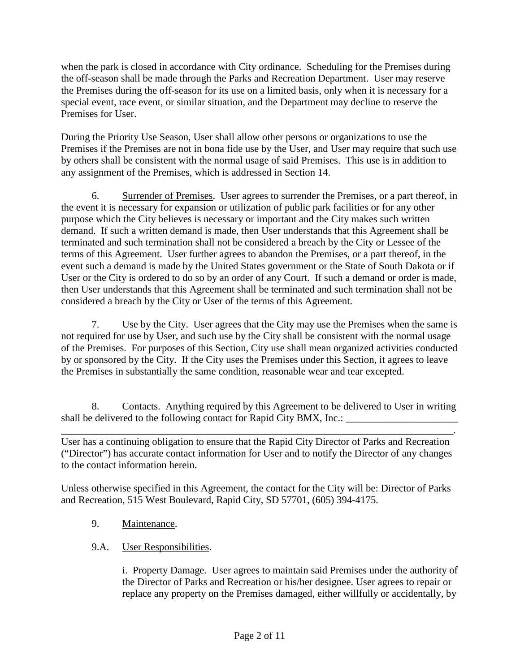when the park is closed in accordance with City ordinance. Scheduling for the Premises during the off-season shall be made through the Parks and Recreation Department. User may reserve the Premises during the off-season for its use on a limited basis, only when it is necessary for a special event, race event, or similar situation, and the Department may decline to reserve the Premises for User.

During the Priority Use Season, User shall allow other persons or organizations to use the Premises if the Premises are not in bona fide use by the User, and User may require that such use by others shall be consistent with the normal usage of said Premises. This use is in addition to any assignment of the Premises, which is addressed in Section 14.

6. Surrender of Premises. User agrees to surrender the Premises, or a part thereof, in the event it is necessary for expansion or utilization of public park facilities or for any other purpose which the City believes is necessary or important and the City makes such written demand. If such a written demand is made, then User understands that this Agreement shall be terminated and such termination shall not be considered a breach by the City or Lessee of the terms of this Agreement. User further agrees to abandon the Premises, or a part thereof, in the event such a demand is made by the United States government or the State of South Dakota or if User or the City is ordered to do so by an order of any Court. If such a demand or order is made, then User understands that this Agreement shall be terminated and such termination shall not be considered a breach by the City or User of the terms of this Agreement.

7. Use by the City. User agrees that the City may use the Premises when the same is not required for use by User, and such use by the City shall be consistent with the normal usage of the Premises. For purposes of this Section, City use shall mean organized activities conducted by or sponsored by the City. If the City uses the Premises under this Section, it agrees to leave the Premises in substantially the same condition, reasonable wear and tear excepted.

8. Contacts. Anything required by this Agreement to be delivered to User in writing shall be delivered to the following contact for Rapid City BMX, Inc.:

\_\_\_\_\_\_\_\_\_\_\_\_\_\_\_\_\_\_\_\_\_\_\_\_\_\_\_\_\_\_\_\_\_\_\_\_\_\_\_\_\_\_\_\_\_\_\_\_\_\_\_\_\_\_\_\_\_\_\_\_\_\_\_\_\_\_\_\_\_\_\_\_\_\_\_\_\_. User has a continuing obligation to ensure that the Rapid City Director of Parks and Recreation ("Director") has accurate contact information for User and to notify the Director of any changes to the contact information herein.

Unless otherwise specified in this Agreement, the contact for the City will be: Director of Parks and Recreation, 515 West Boulevard, Rapid City, SD 57701, (605) 394-4175.

- 9. Maintenance.
- 9.A. User Responsibilities.

i. Property Damage. User agrees to maintain said Premises under the authority of the Director of Parks and Recreation or his/her designee. User agrees to repair or replace any property on the Premises damaged, either willfully or accidentally, by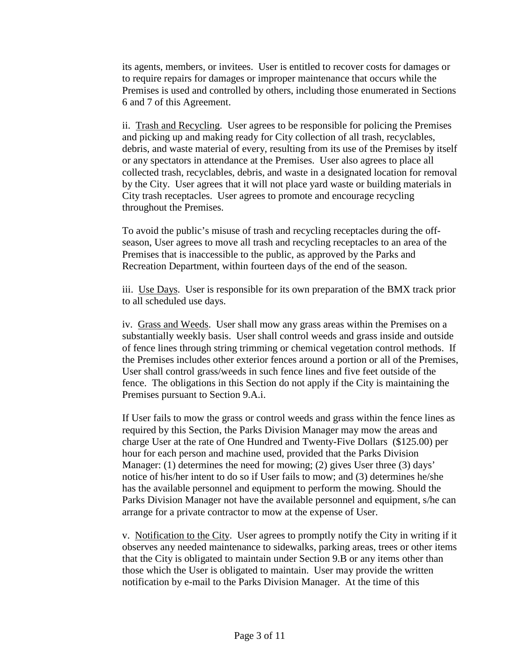its agents, members, or invitees. User is entitled to recover costs for damages or to require repairs for damages or improper maintenance that occurs while the Premises is used and controlled by others, including those enumerated in Sections 6 and 7 of this Agreement.

ii. Trash and Recycling. User agrees to be responsible for policing the Premises and picking up and making ready for City collection of all trash, recyclables, debris, and waste material of every, resulting from its use of the Premises by itself or any spectators in attendance at the Premises. User also agrees to place all collected trash, recyclables, debris, and waste in a designated location for removal by the City. User agrees that it will not place yard waste or building materials in City trash receptacles. User agrees to promote and encourage recycling throughout the Premises.

To avoid the public's misuse of trash and recycling receptacles during the offseason, User agrees to move all trash and recycling receptacles to an area of the Premises that is inaccessible to the public, as approved by the Parks and Recreation Department, within fourteen days of the end of the season.

iii. Use Days. User is responsible for its own preparation of the BMX track prior to all scheduled use days.

iv. Grass and Weeds. User shall mow any grass areas within the Premises on a substantially weekly basis. User shall control weeds and grass inside and outside of fence lines through string trimming or chemical vegetation control methods. If the Premises includes other exterior fences around a portion or all of the Premises, User shall control grass/weeds in such fence lines and five feet outside of the fence. The obligations in this Section do not apply if the City is maintaining the Premises pursuant to Section 9.A.i.

If User fails to mow the grass or control weeds and grass within the fence lines as required by this Section, the Parks Division Manager may mow the areas and charge User at the rate of One Hundred and Twenty-Five Dollars (\$125.00) per hour for each person and machine used, provided that the Parks Division Manager: (1) determines the need for mowing; (2) gives User three (3) days' notice of his/her intent to do so if User fails to mow; and (3) determines he/she has the available personnel and equipment to perform the mowing. Should the Parks Division Manager not have the available personnel and equipment, s/he can arrange for a private contractor to mow at the expense of User.

v. Notification to the City. User agrees to promptly notify the City in writing if it observes any needed maintenance to sidewalks, parking areas, trees or other items that the City is obligated to maintain under Section 9.B or any items other than those which the User is obligated to maintain. User may provide the written notification by e-mail to the Parks Division Manager. At the time of this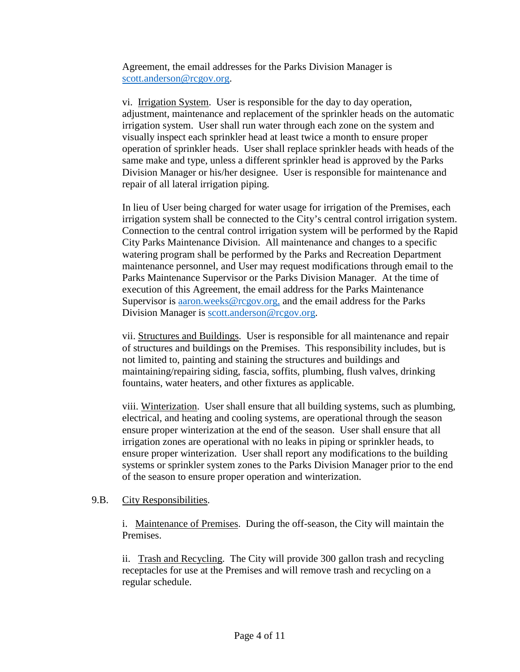Agreement, the email addresses for the Parks Division Manager is [scott.anderson@rcgov.org.](mailto:scott.anderson@rcgov.org)

vi. Irrigation System. User is responsible for the day to day operation, adjustment, maintenance and replacement of the sprinkler heads on the automatic irrigation system. User shall run water through each zone on the system and visually inspect each sprinkler head at least twice a month to ensure proper operation of sprinkler heads. User shall replace sprinkler heads with heads of the same make and type, unless a different sprinkler head is approved by the Parks Division Manager or his/her designee. User is responsible for maintenance and repair of all lateral irrigation piping.

In lieu of User being charged for water usage for irrigation of the Premises, each irrigation system shall be connected to the City's central control irrigation system. Connection to the central control irrigation system will be performed by the Rapid City Parks Maintenance Division. All maintenance and changes to a specific watering program shall be performed by the Parks and Recreation Department maintenance personnel, and User may request modifications through email to the Parks Maintenance Supervisor or the Parks Division Manager. At the time of execution of this Agreement, the email address for the Parks Maintenance Supervisor is [aaron.weeks@rcgov.org,](mailto:aaron.weeks@rcgov.org) and the email address for the Parks Division Manager is [scott.anderson@rcgov.org.](mailto:scott.anderson@rcgov.org)

vii. Structures and Buildings. User is responsible for all maintenance and repair of structures and buildings on the Premises. This responsibility includes, but is not limited to, painting and staining the structures and buildings and maintaining/repairing siding, fascia, soffits, plumbing, flush valves, drinking fountains, water heaters, and other fixtures as applicable.

viii. Winterization. User shall ensure that all building systems, such as plumbing, electrical, and heating and cooling systems, are operational through the season ensure proper winterization at the end of the season. User shall ensure that all irrigation zones are operational with no leaks in piping or sprinkler heads, to ensure proper winterization. User shall report any modifications to the building systems or sprinkler system zones to the Parks Division Manager prior to the end of the season to ensure proper operation and winterization.

## 9.B. City Responsibilities.

i. Maintenance of Premises. During the off-season, the City will maintain the Premises.

ii. Trash and Recycling. The City will provide 300 gallon trash and recycling receptacles for use at the Premises and will remove trash and recycling on a regular schedule.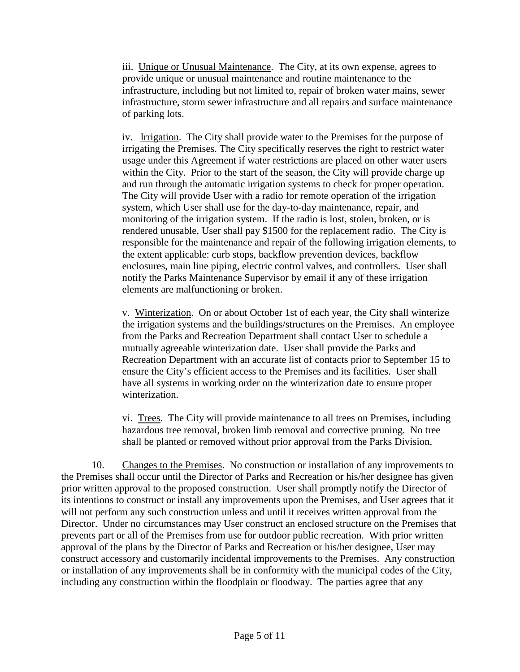iii. Unique or Unusual Maintenance. The City, at its own expense, agrees to provide unique or unusual maintenance and routine maintenance to the infrastructure, including but not limited to, repair of broken water mains, sewer infrastructure, storm sewer infrastructure and all repairs and surface maintenance of parking lots.

iv. Irrigation. The City shall provide water to the Premises for the purpose of irrigating the Premises. The City specifically reserves the right to restrict water usage under this Agreement if water restrictions are placed on other water users within the City. Prior to the start of the season, the City will provide charge up and run through the automatic irrigation systems to check for proper operation. The City will provide User with a radio for remote operation of the irrigation system, which User shall use for the day-to-day maintenance, repair, and monitoring of the irrigation system. If the radio is lost, stolen, broken, or is rendered unusable, User shall pay \$1500 for the replacement radio. The City is responsible for the maintenance and repair of the following irrigation elements, to the extent applicable: curb stops, backflow prevention devices, backflow enclosures, main line piping, electric control valves, and controllers. User shall notify the Parks Maintenance Supervisor by email if any of these irrigation elements are malfunctioning or broken.

v. Winterization. On or about October 1st of each year, the City shall winterize the irrigation systems and the buildings/structures on the Premises. An employee from the Parks and Recreation Department shall contact User to schedule a mutually agreeable winterization date. User shall provide the Parks and Recreation Department with an accurate list of contacts prior to September 15 to ensure the City's efficient access to the Premises and its facilities. User shall have all systems in working order on the winterization date to ensure proper winterization.

vi. Trees. The City will provide maintenance to all trees on Premises, including hazardous tree removal, broken limb removal and corrective pruning. No tree shall be planted or removed without prior approval from the Parks Division.

10. Changes to the Premises. No construction or installation of any improvements to the Premises shall occur until the Director of Parks and Recreation or his/her designee has given prior written approval to the proposed construction. User shall promptly notify the Director of its intentions to construct or install any improvements upon the Premises, and User agrees that it will not perform any such construction unless and until it receives written approval from the Director. Under no circumstances may User construct an enclosed structure on the Premises that prevents part or all of the Premises from use for outdoor public recreation. With prior written approval of the plans by the Director of Parks and Recreation or his/her designee, User may construct accessory and customarily incidental improvements to the Premises. Any construction or installation of any improvements shall be in conformity with the municipal codes of the City, including any construction within the floodplain or floodway. The parties agree that any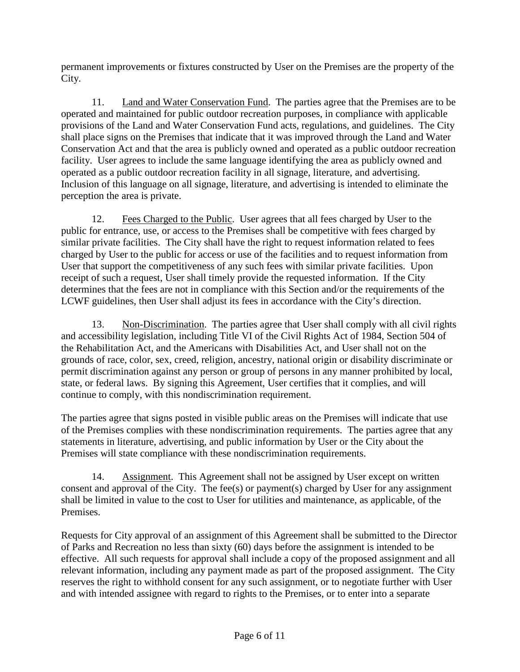permanent improvements or fixtures constructed by User on the Premises are the property of the City.

11. Land and Water Conservation Fund. The parties agree that the Premises are to be operated and maintained for public outdoor recreation purposes, in compliance with applicable provisions of the Land and Water Conservation Fund acts, regulations, and guidelines. The City shall place signs on the Premises that indicate that it was improved through the Land and Water Conservation Act and that the area is publicly owned and operated as a public outdoor recreation facility. User agrees to include the same language identifying the area as publicly owned and operated as a public outdoor recreation facility in all signage, literature, and advertising. Inclusion of this language on all signage, literature, and advertising is intended to eliminate the perception the area is private.

12. Fees Charged to the Public. User agrees that all fees charged by User to the public for entrance, use, or access to the Premises shall be competitive with fees charged by similar private facilities. The City shall have the right to request information related to fees charged by User to the public for access or use of the facilities and to request information from User that support the competitiveness of any such fees with similar private facilities. Upon receipt of such a request, User shall timely provide the requested information. If the City determines that the fees are not in compliance with this Section and/or the requirements of the LCWF guidelines, then User shall adjust its fees in accordance with the City's direction.

13. Non-Discrimination. The parties agree that User shall comply with all civil rights and accessibility legislation, including Title VI of the Civil Rights Act of 1984, Section 504 of the Rehabilitation Act, and the Americans with Disabilities Act, and User shall not on the grounds of race, color, sex, creed, religion, ancestry, national origin or disability discriminate or permit discrimination against any person or group of persons in any manner prohibited by local, state, or federal laws. By signing this Agreement, User certifies that it complies, and will continue to comply, with this nondiscrimination requirement.

The parties agree that signs posted in visible public areas on the Premises will indicate that use of the Premises complies with these nondiscrimination requirements. The parties agree that any statements in literature, advertising, and public information by User or the City about the Premises will state compliance with these nondiscrimination requirements.

14. Assignment. This Agreement shall not be assigned by User except on written consent and approval of the City. The fee(s) or payment(s) charged by User for any assignment shall be limited in value to the cost to User for utilities and maintenance, as applicable, of the Premises.

Requests for City approval of an assignment of this Agreement shall be submitted to the Director of Parks and Recreation no less than sixty (60) days before the assignment is intended to be effective. All such requests for approval shall include a copy of the proposed assignment and all relevant information, including any payment made as part of the proposed assignment. The City reserves the right to withhold consent for any such assignment, or to negotiate further with User and with intended assignee with regard to rights to the Premises, or to enter into a separate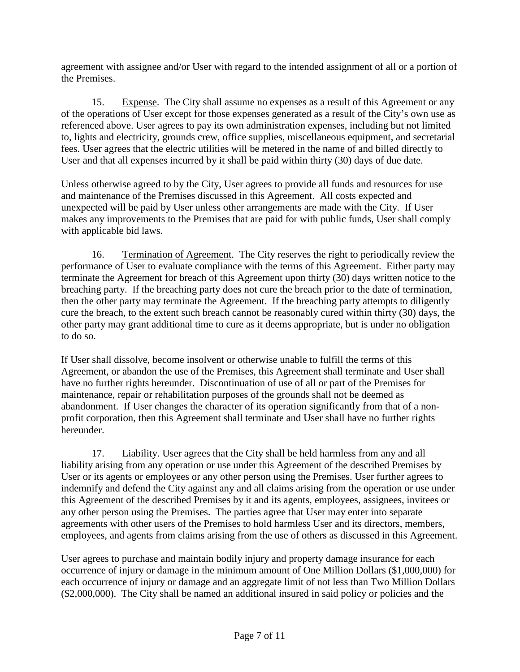agreement with assignee and/or User with regard to the intended assignment of all or a portion of the Premises.

15. Expense. The City shall assume no expenses as a result of this Agreement or any of the operations of User except for those expenses generated as a result of the City's own use as referenced above. User agrees to pay its own administration expenses, including but not limited to, lights and electricity, grounds crew, office supplies, miscellaneous equipment, and secretarial fees. User agrees that the electric utilities will be metered in the name of and billed directly to User and that all expenses incurred by it shall be paid within thirty (30) days of due date.

Unless otherwise agreed to by the City, User agrees to provide all funds and resources for use and maintenance of the Premises discussed in this Agreement. All costs expected and unexpected will be paid by User unless other arrangements are made with the City. If User makes any improvements to the Premises that are paid for with public funds, User shall comply with applicable bid laws.

16. Termination of Agreement. The City reserves the right to periodically review the performance of User to evaluate compliance with the terms of this Agreement. Either party may terminate the Agreement for breach of this Agreement upon thirty (30) days written notice to the breaching party. If the breaching party does not cure the breach prior to the date of termination, then the other party may terminate the Agreement. If the breaching party attempts to diligently cure the breach, to the extent such breach cannot be reasonably cured within thirty (30) days, the other party may grant additional time to cure as it deems appropriate, but is under no obligation to do so.

If User shall dissolve, become insolvent or otherwise unable to fulfill the terms of this Agreement, or abandon the use of the Premises, this Agreement shall terminate and User shall have no further rights hereunder. Discontinuation of use of all or part of the Premises for maintenance, repair or rehabilitation purposes of the grounds shall not be deemed as abandonment. If User changes the character of its operation significantly from that of a nonprofit corporation, then this Agreement shall terminate and User shall have no further rights hereunder.

17. Liability. User agrees that the City shall be held harmless from any and all liability arising from any operation or use under this Agreement of the described Premises by User or its agents or employees or any other person using the Premises. User further agrees to indemnify and defend the City against any and all claims arising from the operation or use under this Agreement of the described Premises by it and its agents, employees, assignees, invitees or any other person using the Premises. The parties agree that User may enter into separate agreements with other users of the Premises to hold harmless User and its directors, members, employees, and agents from claims arising from the use of others as discussed in this Agreement.

User agrees to purchase and maintain bodily injury and property damage insurance for each occurrence of injury or damage in the minimum amount of One Million Dollars (\$1,000,000) for each occurrence of injury or damage and an aggregate limit of not less than Two Million Dollars (\$2,000,000). The City shall be named an additional insured in said policy or policies and the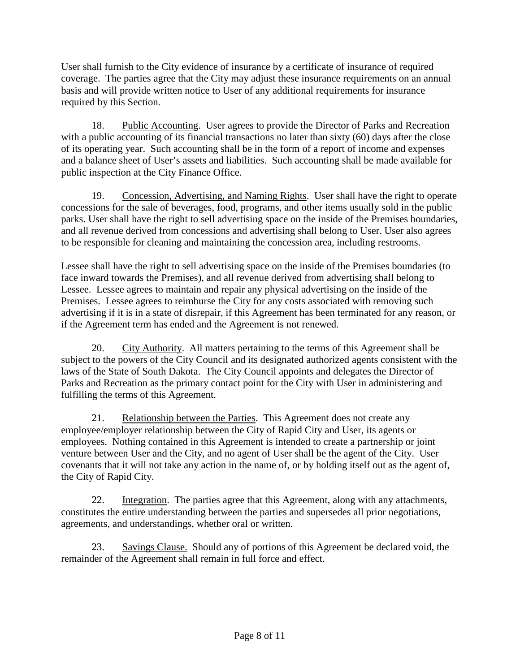User shall furnish to the City evidence of insurance by a certificate of insurance of required coverage. The parties agree that the City may adjust these insurance requirements on an annual basis and will provide written notice to User of any additional requirements for insurance required by this Section.

18. Public Accounting. User agrees to provide the Director of Parks and Recreation with a public accounting of its financial transactions no later than sixty (60) days after the close of its operating year. Such accounting shall be in the form of a report of income and expenses and a balance sheet of User's assets and liabilities. Such accounting shall be made available for public inspection at the City Finance Office.

19. Concession, Advertising, and Naming Rights. User shall have the right to operate concessions for the sale of beverages, food, programs, and other items usually sold in the public parks. User shall have the right to sell advertising space on the inside of the Premises boundaries, and all revenue derived from concessions and advertising shall belong to User. User also agrees to be responsible for cleaning and maintaining the concession area, including restrooms.

Lessee shall have the right to sell advertising space on the inside of the Premises boundaries (to face inward towards the Premises), and all revenue derived from advertising shall belong to Lessee. Lessee agrees to maintain and repair any physical advertising on the inside of the Premises. Lessee agrees to reimburse the City for any costs associated with removing such advertising if it is in a state of disrepair, if this Agreement has been terminated for any reason, or if the Agreement term has ended and the Agreement is not renewed.

20. City Authority. All matters pertaining to the terms of this Agreement shall be subject to the powers of the City Council and its designated authorized agents consistent with the laws of the State of South Dakota. The City Council appoints and delegates the Director of Parks and Recreation as the primary contact point for the City with User in administering and fulfilling the terms of this Agreement.

21. Relationship between the Parties. This Agreement does not create any employee/employer relationship between the City of Rapid City and User, its agents or employees. Nothing contained in this Agreement is intended to create a partnership or joint venture between User and the City, and no agent of User shall be the agent of the City. User covenants that it will not take any action in the name of, or by holding itself out as the agent of, the City of Rapid City.

22. Integration. The parties agree that this Agreement, along with any attachments, constitutes the entire understanding between the parties and supersedes all prior negotiations, agreements, and understandings, whether oral or written.

23. Savings Clause. Should any of portions of this Agreement be declared void, the remainder of the Agreement shall remain in full force and effect.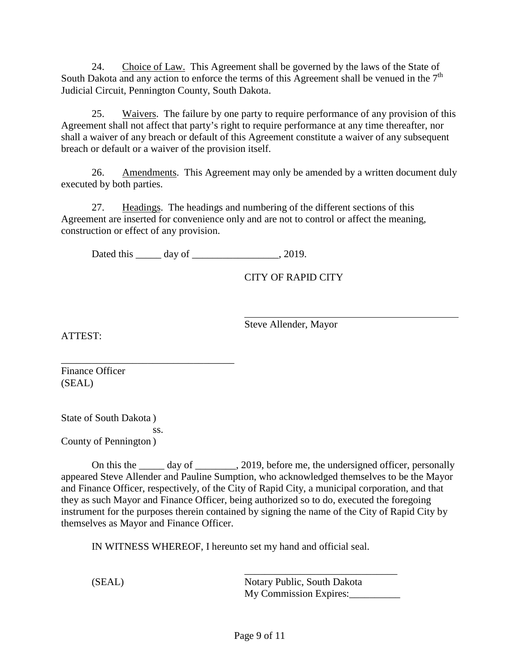24. Choice of Law. This Agreement shall be governed by the laws of the State of South Dakota and any action to enforce the terms of this Agreement shall be venued in the  $7<sup>th</sup>$ Judicial Circuit, Pennington County, South Dakota.

25. Waivers. The failure by one party to require performance of any provision of this Agreement shall not affect that party's right to require performance at any time thereafter, nor shall a waiver of any breach or default of this Agreement constitute a waiver of any subsequent breach or default or a waiver of the provision itself.

26. Amendments. This Agreement may only be amended by a written document duly executed by both parties.

27. Headings. The headings and numbering of the different sections of this Agreement are inserted for convenience only and are not to control or affect the meaning, construction or effect of any provision.

Dated this day of 3.2019.

CITY OF RAPID CITY

Steve Allender, Mayor

ATTEST:

\_\_\_\_\_\_\_\_\_\_\_\_\_\_\_\_\_\_\_\_\_\_\_\_\_\_\_\_\_\_\_\_\_\_ Finance Officer (SEAL)

State of South Dakota )

County of Pennington )

ss.

On this the day of  $\qquad \qquad .$  2019, before me, the undersigned officer, personally appeared Steve Allender and Pauline Sumption, who acknowledged themselves to be the Mayor and Finance Officer, respectively, of the City of Rapid City, a municipal corporation, and that they as such Mayor and Finance Officer, being authorized so to do, executed the foregoing instrument for the purposes therein contained by signing the name of the City of Rapid City by themselves as Mayor and Finance Officer.

IN WITNESS WHEREOF, I hereunto set my hand and official seal.

\_\_\_\_\_\_\_\_\_\_\_\_\_\_\_\_\_\_\_\_\_\_\_\_\_\_\_\_\_\_ (SEAL) Notary Public, South Dakota My Commission Expires: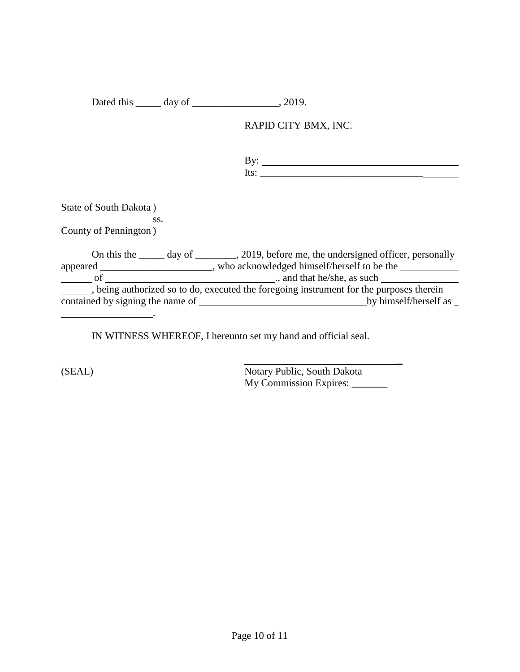Dated this \_\_\_\_\_\_ day of \_\_\_\_\_\_\_\_\_\_\_\_\_\_\_\_, 2019.

RAPID CITY BMX, INC.

By: Its: \_\_\_\_\_\_\_\_\_\_\_\_\_\_\_\_\_\_\_\_\_\_\_\_\_\_\_\_\_\_\_\_

State of South Dakota )

ss. County of Pennington )

On this the \_\_\_\_\_ day of \_\_\_\_\_\_\_, 2019, before me, the undersigned officer, personally appeared \_\_\_\_\_\_\_\_\_\_\_\_\_\_\_\_\_\_, who acknowledged himself/herself to be the of ., and that he/she, as such , being authorized so to do, executed the foregoing instrument for the purposes therein contained by signing the name of **by himself**/herself as  $\overline{\phantom{a}}$ .

IN WITNESS WHEREOF, I hereunto set my hand and official seal.

(SEAL) Notary Public, South Dakota My Commission Expires: \_\_\_\_\_\_\_ \_